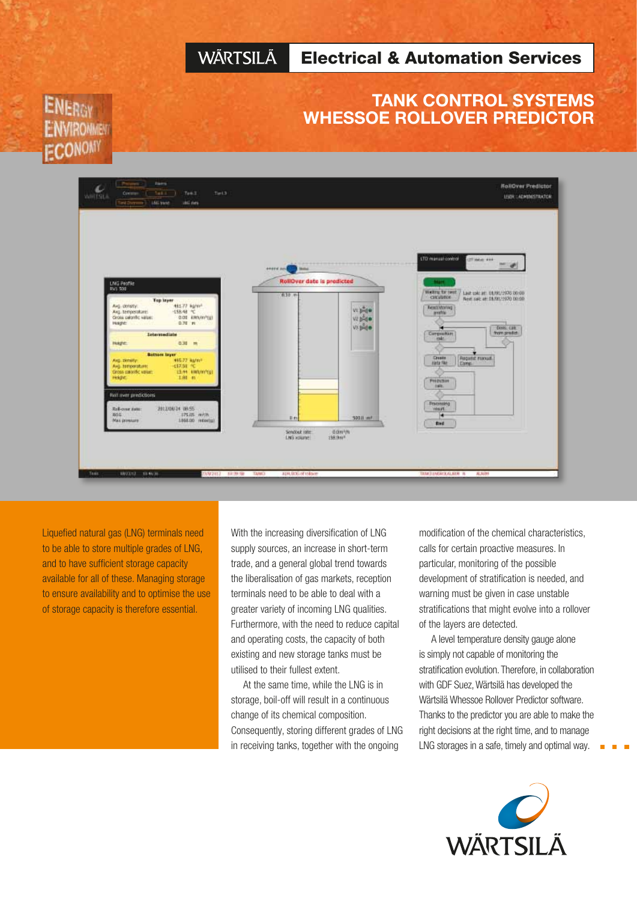#### **WÄRTSILÄ** Electrical & Automation Services

### TANK CONTROL SYSTEMS WHESSOE ROLLOVER PREDICTOR

# **ENERGY** *IMRONMENT* **ECONOM**



Liquefied natural gas (LNG) terminals need to be able to store multiple grades of LNG, and to have sufficient storage capacity available for all of these. Managing storage to ensure availability and to optimise the use of storage capacity is therefore essential.

With the increasing diversification of LNG supply sources, an increase in short-term trade, and a general global trend towards the liberalisation of gas markets, reception terminals need to be able to deal with a greater variety of incoming LNG qualities. Furthermore, with the need to reduce capital and operating costs, the capacity of both existing and new storage tanks must be utilised to their fullest extent.

At the same time, while the LNG is in storage, boil-off will result in a continuous change of its chemical composition. Consequently, storing different grades of LNG in receiving tanks, together with the ongoing

modification of the chemical characteristics, calls for certain proactive measures. In particular, monitoring of the possible development of stratification is needed, and warning must be given in case unstable stratifications that might evolve into a rollover of the layers are detected.

A level temperature density gauge alone is simply not capable of monitoring the stratification evolution. Therefore, in collaboration with GDF Suez, Wärtsilä has developed the Wärtsilä Whessoe Rollover Predictor software. Thanks to the predictor you are able to make the right decisions at the right time, and to manage LNG storages in a safe, timely and optimal way.